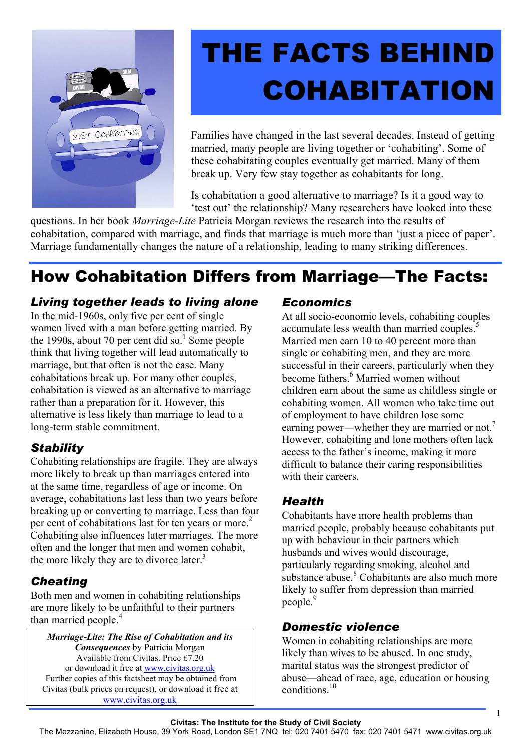

## THE FACTS BEHIND **COHABITATION**

Families have changed in the last several decades. Instead of getting married, many people are living together or 'cohabiting'. Some of these cohabitating couples eventually get married. Many of them break up. Very few stay together as cohabitants for long.

Is cohabitation a good alternative to marriage? Is it a good way to 'test out' the relationship? Many researchers have looked into these

questions. In her book *Marriage-Lite* Patricia Morgan reviews the research into the results of cohabitation, compared with marriage, and finds that marriage is much more than 'just a piece of paper'. Marriage fundamentally changes the nature of a relationship, leading to many striking differences.

### How Cohabitation Differs from Marriage—The Facts:

#### *Living together leads to living alone*

In the mid-1960s, only five per cent of single women lived with a man before getting married. By the 1990s, about 70 per cent did so.<sup>1</sup> Some people think that living together will lead automatically to marriage, but that often is not the case. Many cohabitations break up. For many other couples, cohabitation is viewed as an alternative to marriage rather than a preparation for it. However, this alternative is less likely than marriage to lead to a long-term stable commitment.

#### *Stability*

Cohabiting relationships are fragile. They are always more likely to break up than marriages entered into at the same time, regardless of age or income. On average, cohabitations last less than two years before breaking up or converting to marriage. Less than four per cent of cohabitations last for ten years or more.<sup>2</sup> Cohabiting also influences later marriages. The more often and the longer that men and women cohabit, the more likely they are to divorce later.<sup>3</sup>

#### *Cheating*

Both men and women in cohabiting relationships are more likely to be unfaithful to their partners than married people.<sup>4</sup>

*Marriage-Lite: The Rise of Cohabitation and its Consequences* by Patricia Morgan Available from Civitas. Price £7.20 or download it free at www.civitas.org.uk Further copies of this factsheet may be obtained from Civitas (bulk prices on request), or download it free at www.civitas.org.uk

#### *Economics*

At all socio-economic levels, cohabiting couples accumulate less wealth than married couples.<sup>5</sup> Married men earn 10 to 40 percent more than single or cohabiting men, and they are more successful in their careers, particularly when they become fathers.<sup>6</sup> Married women without children earn about the same as childless single or cohabiting women. All women who take time out of employment to have children lose some earning power—whether they are married or not.<sup>7</sup> However, cohabiting and lone mothers often lack access to the father's income, making it more difficult to balance their caring responsibilities with their careers.

#### *Health*

Cohabitants have more health problems than married people, probably because cohabitants put up with behaviour in their partners which husbands and wives would discourage, particularly regarding smoking, alcohol and substance abuse.<sup>8</sup> Cohabitants are also much more likely to suffer from depression than married people.<sup>9</sup>

#### *Domestic violence*

Women in cohabiting relationships are more likely than wives to be abused. In one study, marital status was the strongest predictor of abuse—ahead of race, age, education or housing conditions<sup>10</sup>

1

The Mezzanine, Elizabeth House, 39 York Road, London SE1 7NQ tel: 020 7401 5470 fax: 020 7401 5471 www.civitas.org.uk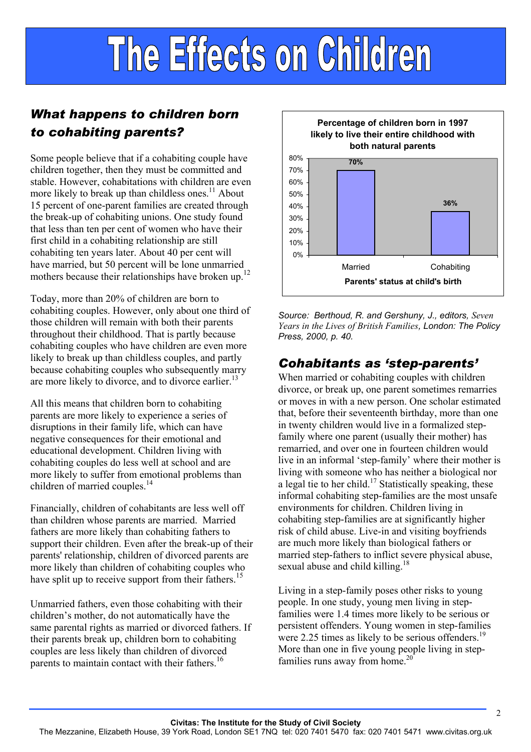# The Effects on Children

#### *What happens to children born to cohabiting parents?*

Some people believe that if a cohabiting couple have children together, then they must be committed and stable. However, cohabitations with children are even more likely to break up than childless ones.<sup>11</sup> About 15 percent of one-parent families are created through the break-up of cohabiting unions. One study found that less than ten per cent of women who have their first child in a cohabiting relationship are still cohabiting ten years later. About 40 per cent will have married, but 50 percent will be lone unmarried mothers because their relationships have broken up.<sup>12</sup>

Today, more than 20% of children are born to cohabiting couples. However, only about one third of those children will remain with both their parents throughout their childhood. That is partly because cohabiting couples who have children are even more likely to break up than childless couples, and partly because cohabiting couples who subsequently marry are more likely to divorce, and to divorce earlier.<sup>13</sup>

All this means that children born to cohabiting parents are more likely to experience a series of disruptions in their family life, which can have negative consequences for their emotional and educational development. Children living with cohabiting couples do less well at school and are more likely to suffer from emotional problems than children of married couples.<sup>14</sup>

Financially, children of cohabitants are less well off than children whose parents are married. Married fathers are more likely than cohabiting fathers to support their children. Even after the break-up of their parents' relationship, children of divorced parents are more likely than children of cohabiting couples who have split up to receive support from their fathers.<sup>15</sup>

Unmarried fathers, even those cohabiting with their children's mother, do not automatically have the same parental rights as married or divorced fathers. If their parents break up, children born to cohabiting couples are less likely than children of divorced parents to maintain contact with their fathers.<sup>16</sup>



*Source: Berthoud, R. and Gershuny, J., editors, Seven Years in the Lives of British Families, London: The Policy Press, 2000, p. 40.* 

#### *Cohabitants as 'step-parents'*

When married or cohabiting couples with children divorce, or break up, one parent sometimes remarries or moves in with a new person. One scholar estimated that, before their seventeenth birthday, more than one in twenty children would live in a formalized stepfamily where one parent (usually their mother) has remarried, and over one in fourteen children would live in an informal 'step-family' where their mother is living with someone who has neither a biological nor a legal tie to her child.<sup>17</sup> Statistically speaking, these informal cohabiting step-families are the most unsafe environments for children. Children living in cohabiting step-families are at significantly higher risk of child abuse. Live-in and visiting boyfriends are much more likely than biological fathers or married step-fathers to inflict severe physical abuse, sexual abuse and child killing.<sup>18</sup>

Living in a step-family poses other risks to young people. In one study, young men living in stepfamilies were 1.4 times more likely to be serious or persistent offenders. Young women in step-families were 2.25 times as likely to be serious offenders.<sup>19</sup> More than one in five young people living in stepfamilies runs away from home.<sup>20</sup>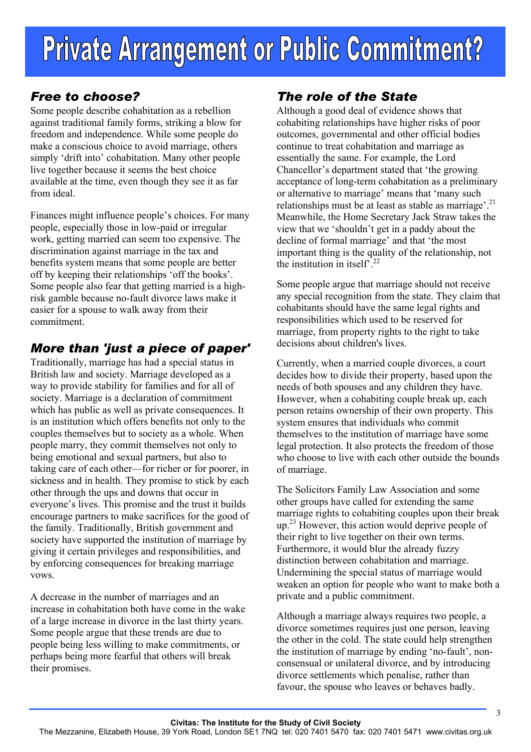#### *Free to choose?*

Some people describe cohabitation as a rebellion against traditional family forms, striking a blow for freedom and independence. While some people do make a conscious choice to avoid marriage, others simply 'drift into' cohabitation. Many other people live together because it seems the best choice available at the time, even though they see it as far from ideal.

Finances might influence people's choices. For many people, especially those in low-paid or irregular work, getting married can seem too expensive. The discrimination against marriage in the tax and benefits system means that some people are better off by keeping their relationships 'off the books'. Some people also fear that getting married is a highrisk gamble because no-fault divorce laws make it easier for a spouse to walk away from their commitment.

#### *More than 'just a piece of paper'*

Traditionally, marriage has had a special status in British law and society. Marriage developed as a way to provide stability for families and for all of society. Marriage is a declaration of commitment which has public as well as private consequences. It is an institution which offers benefits not only to the couples themselves but to society as a whole. When people marry, they commit themselves not only to being emotional and sexual partners, but also to taking care of each other—for richer or for poorer, in sickness and in health. They promise to stick by each other through the ups and downs that occur in everyone's lives. This promise and the trust it builds encourage partners to make sacrifices for the good of the family. Traditionally, British government and society have supported the institution of marriage by giving it certain privileges and responsibilities, and by enforcing consequences for breaking marriage vows.

A decrease in the number of marriages and an increase in cohabitation both have come in the wake of a large increase in divorce in the last thirty years. Some people argue that these trends are due to people being less willing to make commitments, or perhaps being more fearful that others will break their promises.

#### *The role of the State*

Although a good deal of evidence shows that cohabiting relationships have higher risks of poor outcomes, governmental and other official bodies continue to treat cohabitation and marriage as essentially the same. For example, the Lord Chancellor's department stated that 'the growing acceptance of long-term cohabitation as a preliminary or alternative to marriage' means that 'many such relationships must be at least as stable as marriage'.<sup>21</sup> Meanwhile, the Home Secretary Jack Straw takes the view that we 'shouldn't get in a paddy about the decline of formal marriage' and that 'the most important thing is the quality of the relationship, not the institution in itself<sup>22</sup>

Some people argue that marriage should not receive any special recognition from the state. They claim that cohabitants should have the same legal rights and responsibilities which used to be reserved for marriage, from property rights to the right to take decisions about children's lives.

Currently, when a married couple divorces, a court decides how to divide their property, based upon the needs of both spouses and any children they have. However, when a cohabiting couple break up, each person retains ownership of their own property. This system ensures that individuals who commit themselves to the institution of marriage have some legal protection. It also protects the freedom of those who choose to live with each other outside the bounds of marriage.

The Solicitors Family Law Association and some other groups have called for extending the same marriage rights to cohabiting couples upon their break up.<sup>23</sup> However, this action would deprive people of their right to live together on their own terms. Furthermore, it would blur the already fuzzy distinction between cohabitation and marriage. Undermining the special status of marriage would weaken an option for people who want to make both a private and a public commitment.

Although a marriage always requires two people, a divorce sometimes requires just one person, leaving the other in the cold. The state could help strengthen the institution of marriage by ending 'no-fault', nonconsensual or unilateral divorce, and by introducing divorce settlements which penalise, rather than favour, the spouse who leaves or behaves badly.